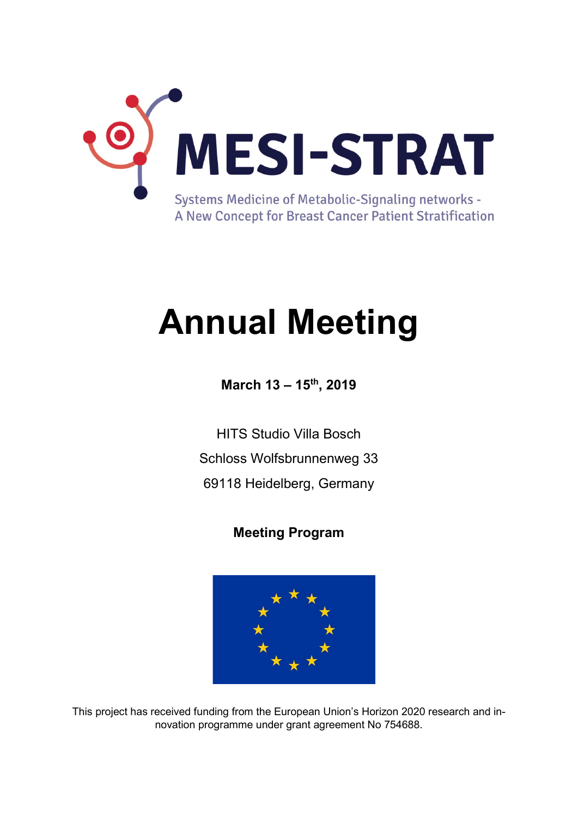

# **Annual Meeting**

**March 13 – 15th, 2019**

HITS Studio Villa Bosch Schloss Wolfsbrunnenweg 33 69118 Heidelberg, Germany

## **Meeting Program**



This project has received funding from the European Union's Horizon 2020 research and innovation programme under grant agreement No 754688.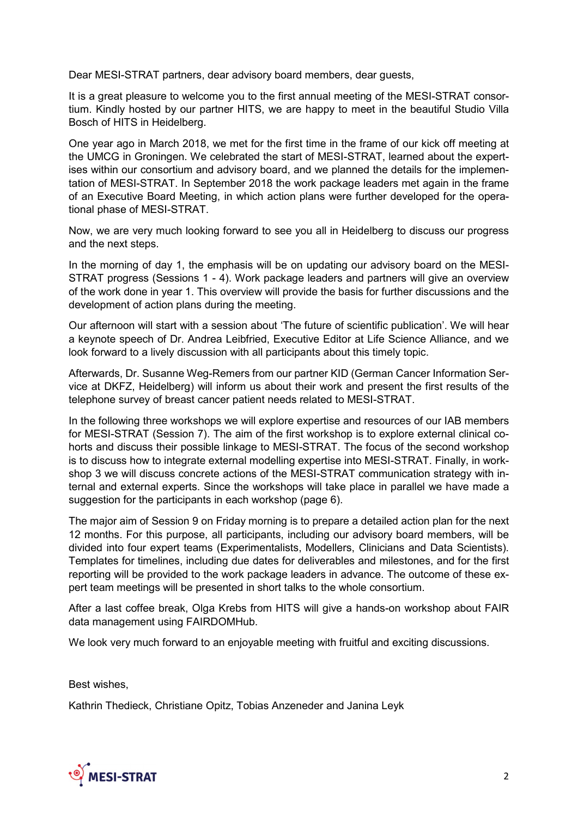Dear MESI-STRAT partners, dear advisory board members, dear guests,

It is a great pleasure to welcome you to the first annual meeting of the MESI-STRAT consortium. Kindly hosted by our partner HITS, we are happy to meet in the beautiful Studio Villa Bosch of HITS in Heidelberg.

One year ago in March 2018, we met for the first time in the frame of our kick off meeting at the UMCG in Groningen. We celebrated the start of MESI-STRAT, learned about the expertises within our consortium and advisory board, and we planned the details for the implementation of MESI-STRAT. In September 2018 the work package leaders met again in the frame of an Executive Board Meeting, in which action plans were further developed for the operational phase of MESI-STRAT.

Now, we are very much looking forward to see you all in Heidelberg to discuss our progress and the next steps.

In the morning of day 1, the emphasis will be on updating our advisory board on the MESI-STRAT progress (Sessions 1 - 4). Work package leaders and partners will give an overview of the work done in year 1. This overview will provide the basis for further discussions and the development of action plans during the meeting.

Our afternoon will start with a session about 'The future of scientific publication'. We will hear a keynote speech of Dr. Andrea Leibfried, Executive Editor at Life Science Alliance, and we look forward to a lively discussion with all participants about this timely topic.

Afterwards, Dr. Susanne Weg-Remers from our partner KID (German Cancer Information Service at DKFZ, Heidelberg) will inform us about their work and present the first results of the telephone survey of breast cancer patient needs related to MESI-STRAT.

In the following three workshops we will explore expertise and resources of our IAB members for MESI-STRAT (Session 7). The aim of the first workshop is to explore external clinical cohorts and discuss their possible linkage to MESI-STRAT. The focus of the second workshop is to discuss how to integrate external modelling expertise into MESI-STRAT. Finally, in workshop 3 we will discuss concrete actions of the MESI-STRAT communication strategy with internal and external experts. Since the workshops will take place in parallel we have made a suggestion for the participants in each workshop (page 6).

The major aim of Session 9 on Friday morning is to prepare a detailed action plan for the next 12 months. For this purpose, all participants, including our advisory board members, will be divided into four expert teams (Experimentalists, Modellers, Clinicians and Data Scientists). Templates for timelines, including due dates for deliverables and milestones, and for the first reporting will be provided to the work package leaders in advance. The outcome of these expert team meetings will be presented in short talks to the whole consortium.

After a last coffee break, Olga Krebs from HITS will give a hands-on workshop about FAIR data management using FAIRDOMHub.

We look very much forward to an enjoyable meeting with fruitful and exciting discussions.

Best wishes,

Kathrin Thedieck, Christiane Opitz, Tobias Anzeneder and Janina Leyk

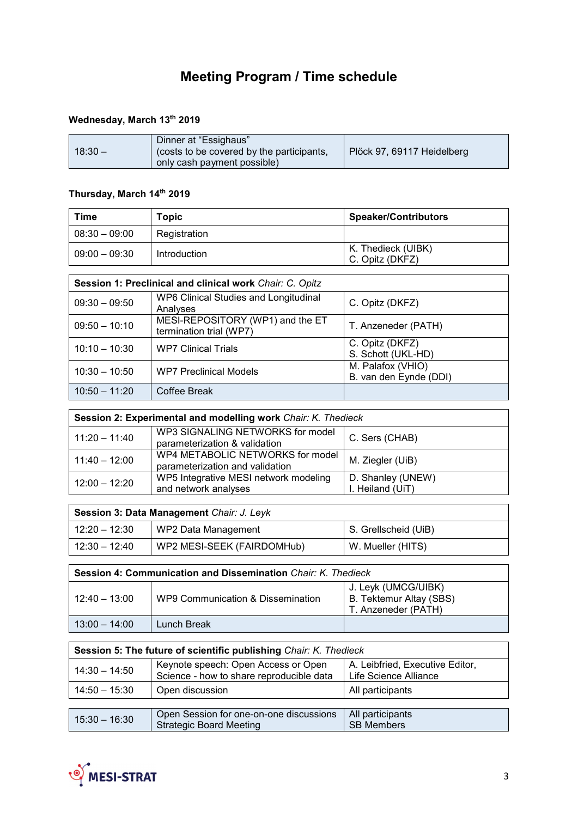# **Meeting Program / Time schedule**

#### **Wednesday, March 13th 2019**

| $18:30 -$ | Dinner at "Essighaus"<br>(costs to be covered by the participants,<br>only cash payment possible) | Plöck 97, 69117 Heidelberg |
|-----------|---------------------------------------------------------------------------------------------------|----------------------------|
|           |                                                                                                   |                            |

#### **Thursday, March 14th 2019**

| Time            | Topic        | <b>Speaker/Contributors</b>           |
|-----------------|--------------|---------------------------------------|
| $08:30 - 09:00$ | Registration |                                       |
| $09:00 - 09:30$ | Introduction | K. Thedieck (UIBK)<br>C. Opitz (DKFZ) |

| Session 1: Preclinical and clinical work Chair: C. Opitz |                                                             |                                             |
|----------------------------------------------------------|-------------------------------------------------------------|---------------------------------------------|
| $09:30 - 09:50$                                          | WP6 Clinical Studies and Longitudinal<br>Analyses           | C. Opitz (DKFZ)                             |
| $09:50 - 10:10$                                          | MESI-REPOSITORY (WP1) and the ET<br>termination trial (WP7) | T. Anzeneder (PATH)                         |
| $10:10 - 10:30$                                          | <b>WP7 Clinical Trials</b>                                  | C. Opitz (DKFZ)<br>S. Schott (UKL-HD)       |
| $10:30 - 10:50$                                          | <b>WP7 Preclinical Models</b>                               | M. Palafox (VHIO)<br>B. van den Eynde (DDI) |
| $10:50 - 11:20$                                          | Coffee Break                                                |                                             |

| Session 2: Experimental and modelling work Chair: K. Thedieck |                                                                     |                                       |
|---------------------------------------------------------------|---------------------------------------------------------------------|---------------------------------------|
| $11:20 - 11:40$                                               | WP3 SIGNALING NETWORKS for model<br>parameterization & validation   | C. Sers (CHAB)                        |
| $11:40 - 12:00$                                               | WP4 METABOLIC NETWORKS for model<br>parameterization and validation | M. Ziegler (UiB)                      |
| $12:00 - 12:20$                                               | WP5 Integrative MESI network modeling<br>and network analyses       | D. Shanley (UNEW)<br>I. Heiland (UiT) |

| Session 3: Data Management Chair: J. Leyk |                            |                      |
|-------------------------------------------|----------------------------|----------------------|
| 12:20 – 12:30                             | WP2 Data Management        | S. Grellscheid (UiB) |
| $12:30 - 12:40$                           | WP2 MESI-SEEK (FAIRDOMHub) | W. Mueller (HITS)    |

| <b>Session 4: Communication and Dissemination Chair: K. Thedieck</b> |                                   |                                                                       |
|----------------------------------------------------------------------|-----------------------------------|-----------------------------------------------------------------------|
| $12:40 - 13:00$                                                      | WP9 Communication & Dissemination | J. Leyk (UMCG/UIBK)<br>B. Tektemur Altay (SBS)<br>T. Anzeneder (PATH) |
| $13:00 - 14:00$                                                      | Lunch Break                       |                                                                       |

| Session 5: The future of scientific publishing Chair: K. Thedieck |                                                                                 |                                                          |
|-------------------------------------------------------------------|---------------------------------------------------------------------------------|----------------------------------------------------------|
| $14:30 - 14:50$                                                   | Keynote speech: Open Access or Open<br>Science - how to share reproducible data | A. Leibfried, Executive Editor,<br>Life Science Alliance |
| $14:50 - 15:30$                                                   | Open discussion                                                                 | All participants                                         |
|                                                                   |                                                                                 |                                                          |
| $15:30 - 16:30$                                                   | Open Session for one-on-one discussions<br><b>Strategic Board Meeting</b>       | All participants<br><b>SB Members</b>                    |

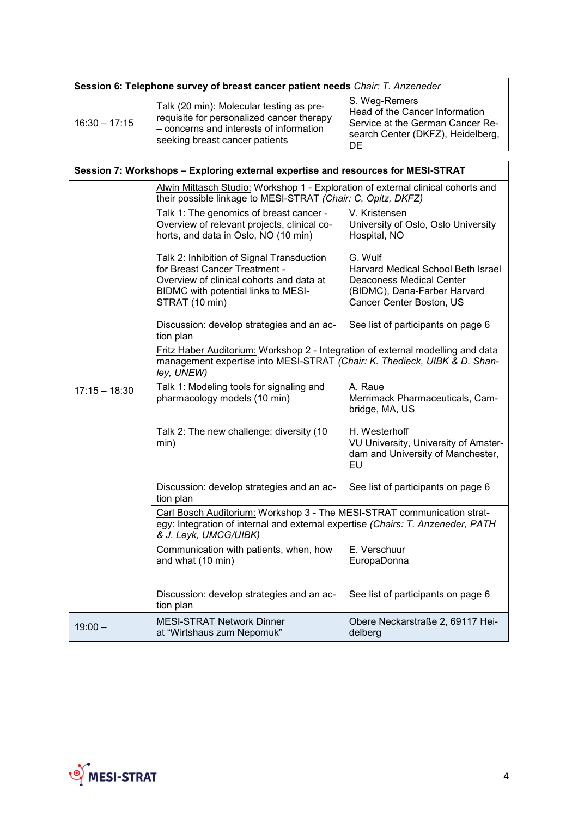| Session 6: Telephone survey of breast cancer patient needs Chair: T. Anzeneder |                                                                                                                                                                    |                                                                                                                                |
|--------------------------------------------------------------------------------|--------------------------------------------------------------------------------------------------------------------------------------------------------------------|--------------------------------------------------------------------------------------------------------------------------------|
| $16:30 - 17:15$                                                                | Talk (20 min): Molecular testing as pre-<br>requisite for personalized cancer therapy<br>- concerns and interests of information<br>seeking breast cancer patients | S. Weg-Remers<br>Head of the Cancer Information<br>Service at the German Cancer Re-<br>search Center (DKFZ), Heidelberg,<br>DE |

| Session 7: Workshops - Exploring external expertise and resources for MESI-STRAT |                                                                                                                                                                                     |                                                                                                                                              |
|----------------------------------------------------------------------------------|-------------------------------------------------------------------------------------------------------------------------------------------------------------------------------------|----------------------------------------------------------------------------------------------------------------------------------------------|
|                                                                                  | Alwin Mittasch Studio: Workshop 1 - Exploration of external clinical cohorts and<br>their possible linkage to MESI-STRAT (Chair: C. Opitz, DKFZ)                                    |                                                                                                                                              |
|                                                                                  | Talk 1: The genomics of breast cancer -<br>Overview of relevant projects, clinical co-<br>horts, and data in Oslo, NO (10 min)                                                      | V. Kristensen<br>University of Oslo, Oslo University<br>Hospital, NO                                                                         |
|                                                                                  | Talk 2: Inhibition of Signal Transduction<br>for Breast Cancer Treatment -<br>Overview of clinical cohorts and data at<br>BIDMC with potential links to MESI-<br>STRAT (10 min)     | G. Wulf<br>Harvard Medical School Beth Israel<br><b>Deaconess Medical Center</b><br>(BIDMC), Dana-Farber Harvard<br>Cancer Center Boston, US |
|                                                                                  | Discussion: develop strategies and an ac-<br>tion plan                                                                                                                              | See list of participants on page 6                                                                                                           |
|                                                                                  | Fritz Haber Auditorium: Workshop 2 - Integration of external modelling and data<br>management expertise into MESI-STRAT (Chair: K. Thedieck, UIBK & D. Shan-<br>ley, UNEW)          |                                                                                                                                              |
| $17:15 - 18:30$                                                                  | Talk 1: Modeling tools for signaling and<br>pharmacology models (10 min)                                                                                                            | A. Raue<br>Merrimack Pharmaceuticals, Cam-<br>bridge, MA, US                                                                                 |
|                                                                                  | Talk 2: The new challenge: diversity (10<br>min)                                                                                                                                    | H. Westerhoff<br>VU University, University of Amster-<br>dam and University of Manchester,<br>EU                                             |
|                                                                                  | Discussion: develop strategies and an ac-<br>tion plan                                                                                                                              | See list of participants on page 6                                                                                                           |
|                                                                                  | Carl Bosch Auditorium: Workshop 3 - The MESI-STRAT communication strat-<br>egy: Integration of internal and external expertise (Chairs: T. Anzeneder, PATH<br>& J. Leyk, UMCG/UIBK) |                                                                                                                                              |
|                                                                                  | Communication with patients, when, how<br>and what (10 min)                                                                                                                         | E. Verschuur<br>EuropaDonna                                                                                                                  |
|                                                                                  | Discussion: develop strategies and an ac-<br>tion plan                                                                                                                              | See list of participants on page 6                                                                                                           |
| $19:00 -$                                                                        | <b>MESI-STRAT Network Dinner</b><br>at "Wirtshaus zum Nepomuk"                                                                                                                      | Obere Neckarstraße 2, 69117 Hei-<br>delberg                                                                                                  |

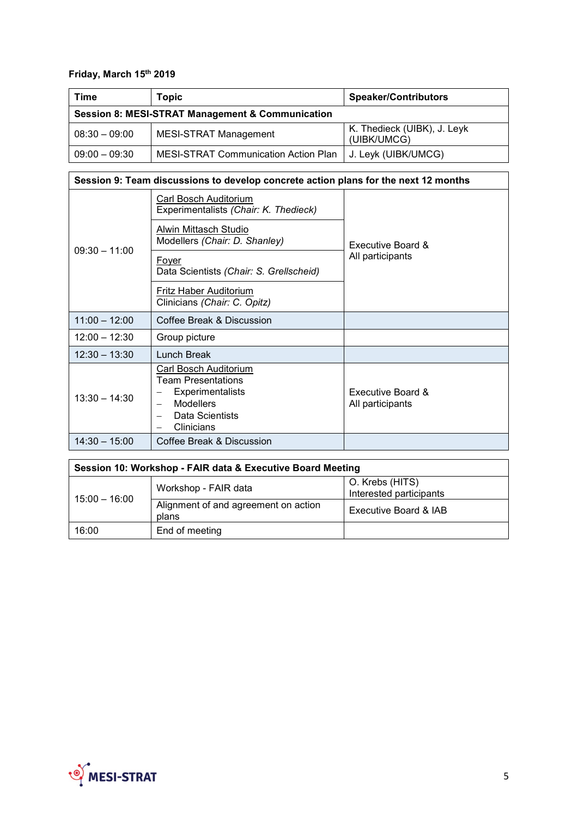### **Friday, March 15th 2019**

| Time                                                        | Topic                                | <b>Speaker/Contributors</b>                |
|-------------------------------------------------------------|--------------------------------------|--------------------------------------------|
| <b>Session 8: MESI-STRAT Management &amp; Communication</b> |                                      |                                            |
| $08:30 - 09:00$                                             | <b>MESI-STRAT Management</b>         | K. Thedieck (UIBK), J. Leyk<br>(UIBK/UMCG) |
| $09:00 - 09:30$                                             | MESI-STRAT Communication Action Plan | J. Leyk (UIBK/UMCG)                        |

## **Session 9: Team discussions to develop concrete action plans for the next 12 months**

|                 | Carl Bosch Auditorium<br>Experimentalists (Chair: K. Thedieck)                                                                     |                                       |
|-----------------|------------------------------------------------------------------------------------------------------------------------------------|---------------------------------------|
|                 | Alwin Mittasch Studio<br>Modellers (Chair: D. Shanley)                                                                             | Executive Board &<br>All participants |
| $09:30 - 11:00$ | Fover<br>Data Scientists (Chair: S. Grellscheid)                                                                                   |                                       |
|                 | Fritz Haber Auditorium<br>Clinicians (Chair: C. Opitz)                                                                             |                                       |
| $11:00 - 12:00$ | Coffee Break & Discussion                                                                                                          |                                       |
| $12:00 - 12:30$ | Group picture                                                                                                                      |                                       |
| $12:30 - 13:30$ | Lunch Break                                                                                                                        |                                       |
| $13:30 - 14:30$ | Carl Bosch Auditorium<br><b>Team Presentations</b><br><b>Experimentalists</b><br><b>Modellers</b><br>Data Scientists<br>Clinicians | Executive Board &<br>All participants |
| $14:30 - 15:00$ | Coffee Break & Discussion                                                                                                          |                                       |

| Session 10: Workshop - FAIR data & Executive Board Meeting |                                               |                                            |
|------------------------------------------------------------|-----------------------------------------------|--------------------------------------------|
| $15:00 - 16:00$                                            | Workshop - FAIR data                          | O. Krebs (HITS)<br>Interested participants |
|                                                            | Alignment of and agreement on action<br>plans | Executive Board & IAB                      |
| 16:00                                                      | End of meeting                                |                                            |